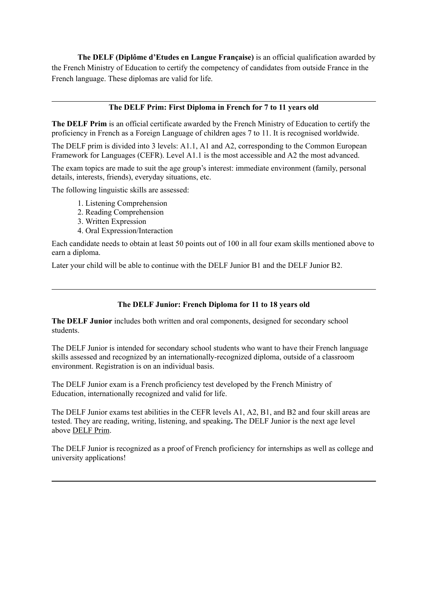**The DELF (Diplôme d'Etudes en Langue Française)** is an official qualification awarded by the French Ministry of Education to certify the competency of candidates from outside France in the French language. These diplomas are valid for life.

## **The DELF Prim: First Diploma in French for 7 to 11 years old**

**The DELF Prim** is an official certificate awarded by the French Ministry of Education to certify the proficiency in French as a Foreign Language of children ages 7 to 11. It is recognised worldwide.

The DELF prim is divided into 3 levels: A1.1, A1 and A2, corresponding to the Common European Framework for Languages (CEFR). Level A1.1 is the most accessible and A2 the most advanced.

The exam topics are made to suit the age group's interest: immediate environment (family, personal details, interests, friends), everyday situations, etc.

The following linguistic skills are assessed:

- 1. Listening Comprehension
- 2. Reading Comprehension
- 3. Written Expression
- 4. Oral Expression/Interaction

Each candidate needs to obtain at least 50 points out of 100 in all four exam skills mentioned above to earn a diploma.

Later your child will be able to continue with the DELF Junior B1 and the DELF Junior B2.

## **The DELF Junior: French Diploma for 11 to 18 years old**

**The DELF Junior** includes both written and oral components, designed for secondary school students.

The DELF Junior is intended for secondary school students who want to have their French language skills assessed and recognized by an internationally-recognized diploma, outside of a classroom environment. Registration is on an individual basis.

The DELF Junior exam is a French proficiency test developed by the French Ministry of Education, internationally recognized and valid for life.

The DELF Junior exams test abilities in the CEFR levels A1, A2, B1, and B2 and four skill areas are tested. They are reading, writing, listening, and speaking**.** The DELF Junior is the next age level above [DELF](https://global-exam.com/blog/en/what-is-delf-prim/) Prim.

The DELF Junior is recognized as a proof of French proficiency for internships as well as college and university applications!